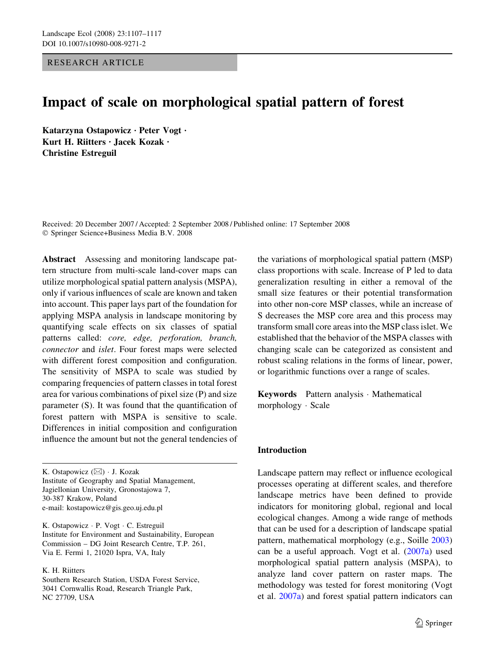RESEARCH ARTICLE

# Impact of scale on morphological spatial pattern of forest

Katarzyna Ostapowicz · Peter Vogt · Kurt H. Riitters · Jacek Kozak · Christine Estreguil

Received: 20 December 2007 / Accepted: 2 September 2008 / Published online: 17 September 2008 Springer Science+Business Media B.V. 2008

Abstract Assessing and monitoring landscape pattern structure from multi-scale land-cover maps can utilize morphological spatial pattern analysis (MSPA), only if various influences of scale are known and taken into account. This paper lays part of the foundation for applying MSPA analysis in landscape monitoring by quantifying scale effects on six classes of spatial patterns called: core, edge, perforation, branch, connector and islet. Four forest maps were selected with different forest composition and configuration. The sensitivity of MSPA to scale was studied by comparing frequencies of pattern classes in total forest area for various combinations of pixel size (P) and size parameter (S). It was found that the quantification of forest pattern with MSPA is sensitive to scale. Differences in initial composition and configuration influence the amount but not the general tendencies of

K. Ostapowicz (&) J. Kozak Institute of Geography and Spatial Management, Jagiellonian University, Gronostajowa 7, 30-387 Krakow, Poland e-mail: kostapowicz@gis.geo.uj.edu.pl

K. Ostapowicz · P. Vogt · C. Estreguil Institute for Environment and Sustainability, European Commission – DG Joint Research Centre, T.P. 261, Via E. Fermi 1, 21020 Ispra, VA, Italy

K. H. Riitters

Southern Research Station, USDA Forest Service, 3041 Cornwallis Road, Research Triangle Park, NC 27709, USA

the variations of morphological spatial pattern (MSP) class proportions with scale. Increase of P led to data generalization resulting in either a removal of the small size features or their potential transformation into other non-core MSP classes, while an increase of S decreases the MSP core area and this process may transform small core areas into the MSP class islet. We established that the behavior of the MSPA classes with changing scale can be categorized as consistent and robust scaling relations in the forms of linear, power, or logarithmic functions over a range of scales.

Keywords Pattern analysis · Mathematical  $morphology \cdot Scale$ 

## Introduction

Landscape pattern may reflect or influence ecological processes operating at different scales, and therefore landscape metrics have been defined to provide indicators for monitoring global, regional and local ecological changes. Among a wide range of methods that can be used for a description of landscape spatial pattern, mathematical morphology (e.g., Soille [2003\)](#page-10-0) can be a useful approach. Vogt et al. ([2007a](#page-10-0)) used morphological spatial pattern analysis (MSPA), to analyze land cover pattern on raster maps. The methodology was tested for forest monitoring (Vogt et al. [2007a\)](#page-10-0) and forest spatial pattern indicators can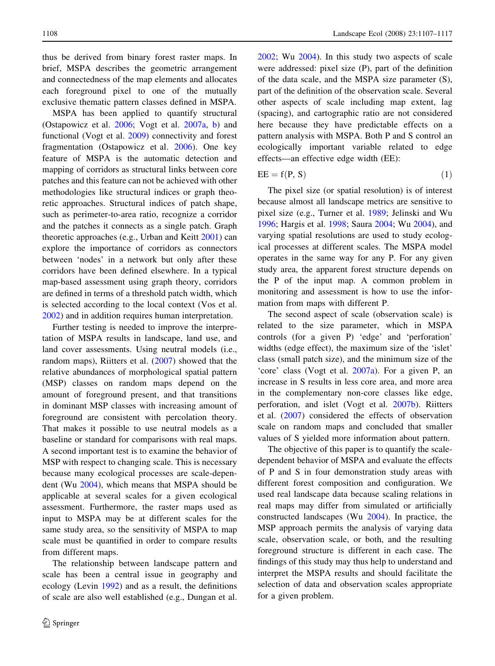thus be derived from binary forest raster maps. In brief, MSPA describes the geometric arrangement and connectedness of the map elements and allocates each foreground pixel to one of the mutually exclusive thematic pattern classes defined in MSPA.

MSPA has been applied to quantify structural (Ostapowicz et al. [2006;](#page-10-0) Vogt et al. [2007a,](#page-10-0) [b\)](#page-10-0) and functional (Vogt et al. [2009\)](#page-10-0) connectivity and forest fragmentation (Ostapowicz et al. [2006\)](#page-10-0). One key feature of MSPA is the automatic detection and mapping of corridors as structural links between core patches and this feature can not be achieved with other methodologies like structural indices or graph theoretic approaches. Structural indices of patch shape, such as perimeter-to-area ratio, recognize a corridor and the patches it connects as a single patch. Graph theoretic approaches (e.g., Urban and Keitt [2001](#page-10-0)) can explore the importance of corridors as connectors between 'nodes' in a network but only after these corridors have been defined elsewhere. In a typical map-based assessment using graph theory, corridors are defined in terms of a threshold patch width, which is selected according to the local context (Vos et al. [2002\)](#page-10-0) and in addition requires human interpretation.

Further testing is needed to improve the interpretation of MSPA results in landscape, land use, and land cover assessments. Using neutral models (i.e., random maps), Riitters et al. ([2007\)](#page-10-0) showed that the relative abundances of morphological spatial pattern (MSP) classes on random maps depend on the amount of foreground present, and that transitions in dominant MSP classes with increasing amount of foreground are consistent with percolation theory. That makes it possible to use neutral models as a baseline or standard for comparisons with real maps. A second important test is to examine the behavior of MSP with respect to changing scale. This is necessary because many ecological processes are scale-dependent (Wu [2004](#page-10-0)), which means that MSPA should be applicable at several scales for a given ecological assessment. Furthermore, the raster maps used as input to MSPA may be at different scales for the same study area, so the sensitivity of MSPA to map scale must be quantified in order to compare results from different maps.

The relationship between landscape pattern and scale has been a central issue in geography and ecology (Levin [1992\)](#page-10-0) and as a result, the definitions of scale are also well established (e.g., Dungan et al. [2002;](#page-10-0) Wu [2004](#page-10-0)). In this study two aspects of scale were addressed: pixel size (P), part of the definition of the data scale, and the MSPA size parameter (S), part of the definition of the observation scale. Several other aspects of scale including map extent, lag (spacing), and cartographic ratio are not considered here because they have predictable effects on a pattern analysis with MSPA. Both P and S control an ecologically important variable related to edge effects—an effective edge width (EE):

$$
EE = f(P, S) \tag{1}
$$

The pixel size (or spatial resolution) is of interest because almost all landscape metrics are sensitive to pixel size (e.g., Turner et al. [1989;](#page-10-0) Jelinski and Wu [1996;](#page-10-0) Hargis et al. [1998](#page-10-0); Saura [2004](#page-10-0); Wu [2004](#page-10-0)), and varying spatial resolutions are used to study ecological processes at different scales. The MSPA model operates in the same way for any P. For any given study area, the apparent forest structure depends on the P of the input map. A common problem in monitoring and assessment is how to use the information from maps with different P.

The second aspect of scale (observation scale) is related to the size parameter, which in MSPA controls (for a given P) 'edge' and 'perforation' widths (edge effect), the maximum size of the 'islet' class (small patch size), and the minimum size of the 'core' class (Vogt et al. [2007a](#page-10-0)). For a given P, an increase in S results in less core area, and more area in the complementary non-core classes like edge, perforation, and islet (Vogt et al. [2007b](#page-10-0)). Riitters et al. ([2007\)](#page-10-0) considered the effects of observation scale on random maps and concluded that smaller values of S yielded more information about pattern.

The objective of this paper is to quantify the scaledependent behavior of MSPA and evaluate the effects of P and S in four demonstration study areas with different forest composition and configuration. We used real landscape data because scaling relations in real maps may differ from simulated or artificially constructed landscapes (Wu [2004\)](#page-10-0). In practice, the MSP approach permits the analysis of varying data scale, observation scale, or both, and the resulting foreground structure is different in each case. The findings of this study may thus help to understand and interpret the MSPA results and should facilitate the selection of data and observation scales appropriate for a given problem.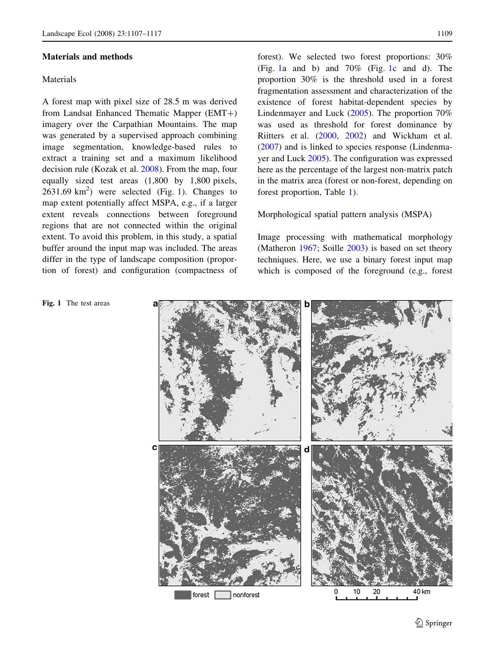## Materials and methods

Fig. 1 The test areas

## Materials

A forest map with pixel size of 28.5 m was derived from Landsat Enhanced Thematic Mapper  $(EMT+)$ imagery over the Carpathian Mountains. The map was generated by a supervised approach combining image segmentation, knowledge-based rules to extract a training set and a maximum likelihood decision rule (Kozak et al. [2008\)](#page-10-0). From the map, four equally sized test areas (1,800 by 1,800 pixels,  $2631.69 \text{ km}^2$ ) were selected (Fig. 1). Changes to map extent potentially affect MSPA, e.g., if a larger extent reveals connections between foreground regions that are not connected within the original extent. To avoid this problem, in this study, a spatial buffer around the input map was included. The areas differ in the type of landscape composition (proportion of forest) and configuration (compactness of forest). We selected two forest proportions: 30% (Fig. 1a and b) and 70% (Fig. 1c and d). The proportion 30% is the threshold used in a forest fragmentation assessment and characterization of the existence of forest habitat-dependent species by Lindenmayer and Luck ([2005\)](#page-10-0). The proportion 70% was used as threshold for forest dominance by Riitters et al. [\(2000](#page-10-0), [2002\)](#page-10-0) and Wickham et al. [\(2007](#page-10-0)) and is linked to species response (Lindenmayer and Luck [2005](#page-10-0)). The configuration was expressed here as the percentage of the largest non-matrix patch in the matrix area (forest or non-forest, depending on forest proportion, Table [1](#page-3-0)).

Morphological spatial pattern analysis (MSPA)

Image processing with mathematical morphology (Matheron [1967;](#page-10-0) Soille [2003\)](#page-10-0) is based on set theory techniques. Here, we use a binary forest input map which is composed of the foreground (e.g., forest

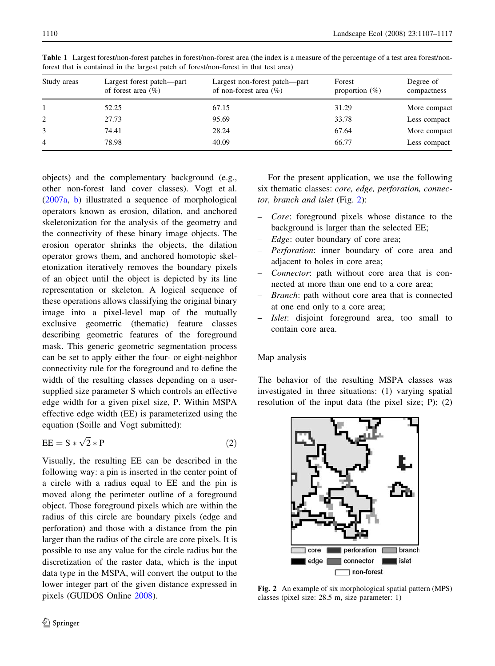| Study areas | Largest forest patch—part<br>of forest area $(\%)$ | Largest non-forest patch—part<br>of non-forest area $(\% )$ | Forest<br>proportion $(\%)$ | Degree of<br>compactness |
|-------------|----------------------------------------------------|-------------------------------------------------------------|-----------------------------|--------------------------|
|             | 52.25                                              | 67.15                                                       | 31.29                       | More compact             |
| 2           | 27.73                                              | 95.69                                                       | 33.78                       | Less compact             |
|             | 74.41                                              | 28.24                                                       | 67.64                       | More compact             |
| 4           | 78.98                                              | 40.09                                                       | 66.77                       | Less compact             |

<span id="page-3-0"></span>Table 1 Largest forest/non-forest patches in forest/non-forest area (the index is a measure of the percentage of a test area forest/nonforest that is contained in the largest patch of forest/non-forest in that test area)

objects) and the complementary background (e.g., other non-forest land cover classes). Vogt et al. [\(2007a,](#page-10-0) [b\)](#page-10-0) illustrated a sequence of morphological operators known as erosion, dilation, and anchored skeletonization for the analysis of the geometry and the connectivity of these binary image objects. The erosion operator shrinks the objects, the dilation operator grows them, and anchored homotopic skeletonization iteratively removes the boundary pixels of an object until the object is depicted by its line representation or skeleton. A logical sequence of these operations allows classifying the original binary image into a pixel-level map of the mutually exclusive geometric (thematic) feature classes describing geometric features of the foreground mask. This generic geometric segmentation process can be set to apply either the four- or eight-neighbor connectivity rule for the foreground and to define the width of the resulting classes depending on a usersupplied size parameter S which controls an effective edge width for a given pixel size, P. Within MSPA effective edge width (EE) is parameterized using the equation (Soille and Vogt submitted):

$$
EE = S * \sqrt{2} * P \tag{2}
$$

Visually, the resulting EE can be described in the following way: a pin is inserted in the center point of a circle with a radius equal to EE and the pin is moved along the perimeter outline of a foreground object. Those foreground pixels which are within the radius of this circle are boundary pixels (edge and perforation) and those with a distance from the pin larger than the radius of the circle are core pixels. It is possible to use any value for the circle radius but the discretization of the raster data, which is the input data type in the MSPA, will convert the output to the lower integer part of the given distance expressed in pixels (GUIDOS Online [2008\)](#page-10-0).

For the present application, we use the following six thematic classes: core, edge, perforation, connector, branch and islet (Fig. 2):

- Core: foreground pixels whose distance to the background is larger than the selected EE;
- *Edge*: outer boundary of core area;
- Perforation: inner boundary of core area and adjacent to holes in core area;
- Connector: path without core area that is connected at more than one end to a core area;
- Branch: path without core area that is connected at one end only to a core area;
- Islet: disjoint foreground area, too small to contain core area.

## Map analysis

The behavior of the resulting MSPA classes was investigated in three situations: (1) varying spatial resolution of the input data (the pixel size; P); (2)



Fig. 2 An example of six morphological spatial pattern (MPS) classes (pixel size: 28.5 m, size parameter: 1)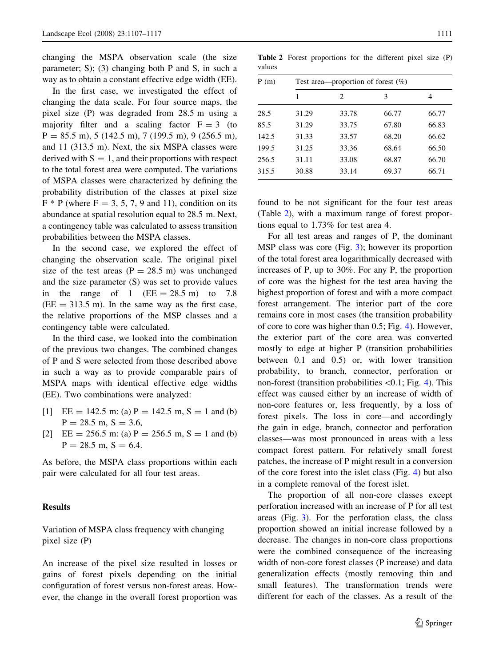changing the MSPA observation scale (the size parameter; S); (3) changing both P and S, in such a way as to obtain a constant effective edge width (EE).

In the first case, we investigated the effect of changing the data scale. For four source maps, the pixel size (P) was degraded from 28.5 m using a majority filter and a scaling factor  $F = 3$  (to P = 85.5 m), 5 (142.5 m), 7 (199.5 m), 9 (256.5 m), and 11 (313.5 m). Next, the six MSPA classes were derived with  $S = 1$ , and their proportions with respect to the total forest area were computed. The variations of MSPA classes were characterized by defining the probability distribution of the classes at pixel size  $F * P$  (where  $F = 3, 5, 7, 9$  and 11), condition on its abundance at spatial resolution equal to 28.5 m. Next, a contingency table was calculated to assess transition probabilities between the MSPA classes.

In the second case, we explored the effect of changing the observation scale. The original pixel size of the test areas  $(P = 28.5 \text{ m})$  was unchanged and the size parameter (S) was set to provide values in the range of 1 ( $EE = 28.5$  m) to 7.8  $(EE = 313.5 \text{ m})$ . In the same way as the first case, the relative proportions of the MSP classes and a contingency table were calculated.

In the third case, we looked into the combination of the previous two changes. The combined changes of P and S were selected from those described above in such a way as to provide comparable pairs of MSPA maps with identical effective edge widths (EE). Two combinations were analyzed:

- [1]  $EE = 142.5$  m: (a)  $P = 142.5$  m,  $S = 1$  and (b)  $P = 28.5$  m,  $S = 3.6$ ,
- [2]  $EE = 256.5$  m: (a)  $P = 256.5$  m,  $S = 1$  and (b)  $P = 28.5$  m,  $S = 6.4$ .

As before, the MSPA class proportions within each pair were calculated for all four test areas.

## Results

Variation of MSPA class frequency with changing pixel size (P)

An increase of the pixel size resulted in losses or gains of forest pixels depending on the initial configuration of forest versus non-forest areas. However, the change in the overall forest proportion was

Table 2 Forest proportions for the different pixel size (P) values

| Test area---proportion of forest $(\%)$ |       |       |       |  |  |  |
|-----------------------------------------|-------|-------|-------|--|--|--|
|                                         | 2     | 3     | 4     |  |  |  |
| 31.29                                   | 33.78 | 66.77 | 66.77 |  |  |  |
| 31.29                                   | 33.75 | 67.80 | 66.83 |  |  |  |
| 31.33                                   | 33.57 | 68.20 | 66.62 |  |  |  |
| 31.25                                   | 33.36 | 68.64 | 66.50 |  |  |  |
| 31.11                                   | 33.08 | 68.87 | 66.70 |  |  |  |
| 30.88                                   | 33.14 | 69.37 | 66.71 |  |  |  |
|                                         |       |       |       |  |  |  |

found to be not significant for the four test areas (Table 2), with a maximum range of forest proportions equal to 1.73% for test area 4.

For all test areas and ranges of P, the dominant MSP class was core (Fig. [3\)](#page-5-0); however its proportion of the total forest area logarithmically decreased with increases of P, up to 30%. For any P, the proportion of core was the highest for the test area having the highest proportion of forest and with a more compact forest arrangement. The interior part of the core remains core in most cases (the transition probability of core to core was higher than 0.5; Fig. [4\)](#page-6-0). However, the exterior part of the core area was converted mostly to edge at higher P (transition probabilities between 0.1 and 0.5) or, with lower transition probability, to branch, connector, perforation or non-forest (transition probabilities  $\langle 0.1; Fig. 4 \rangle$  $\langle 0.1; Fig. 4 \rangle$  $\langle 0.1; Fig. 4 \rangle$ ). This effect was caused either by an increase of width of non-core features or, less frequently, by a loss of forest pixels. The loss in core—and accordingly the gain in edge, branch, connector and perforation classes—was most pronounced in areas with a less compact forest pattern. For relatively small forest patches, the increase of P might result in a conversion of the core forest into the islet class (Fig. [4\)](#page-6-0) but also in a complete removal of the forest islet.

The proportion of all non-core classes except perforation increased with an increase of P for all test areas (Fig. [3](#page-5-0)). For the perforation class, the class proportion showed an initial increase followed by a decrease. The changes in non-core class proportions were the combined consequence of the increasing width of non-core forest classes (P increase) and data generalization effects (mostly removing thin and small features). The transformation trends were different for each of the classes. As a result of the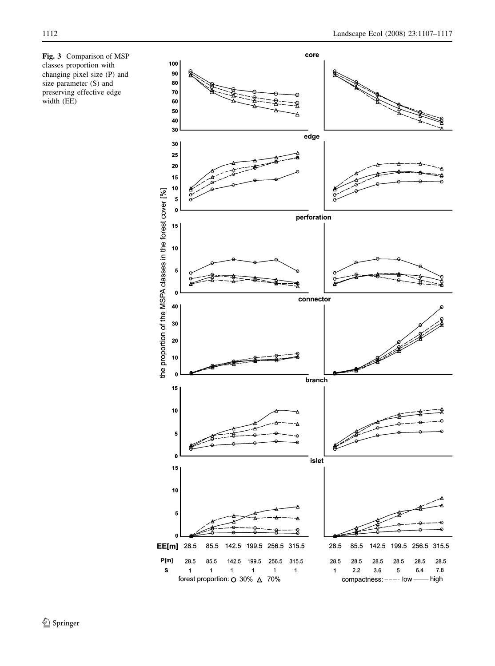<span id="page-5-0"></span>Fig. 3 Comparison of MSP classes proportion with changing pixel size (P) and size parameter (S) and preserving effective edge width (EE)

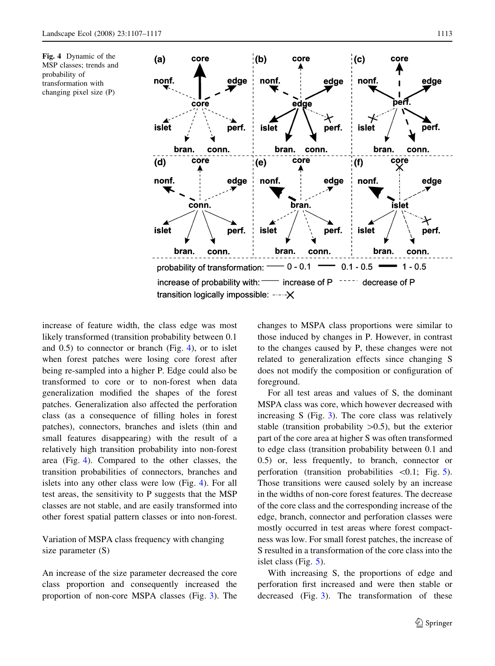<span id="page-6-0"></span>Fig. 4 Dynamic of the MSP classes; trends and probability of transformation with changing pixel size (P)



increase of feature width, the class edge was most likely transformed (transition probability between 0.1 and 0.5) to connector or branch (Fig. 4), or to islet when forest patches were losing core forest after being re-sampled into a higher P. Edge could also be transformed to core or to non-forest when data generalization modified the shapes of the forest patches. Generalization also affected the perforation class (as a consequence of filling holes in forest patches), connectors, branches and islets (thin and small features disappearing) with the result of a relatively high transition probability into non-forest area (Fig. 4). Compared to the other classes, the transition probabilities of connectors, branches and islets into any other class were low (Fig. 4). For all test areas, the sensitivity to P suggests that the MSP classes are not stable, and are easily transformed into other forest spatial pattern classes or into non-forest.

Variation of MSPA class frequency with changing size parameter (S)

An increase of the size parameter decreased the core class proportion and consequently increased the proportion of non-core MSPA classes (Fig. [3\)](#page-5-0). The changes to MSPA class proportions were similar to those induced by changes in P. However, in contrast to the changes caused by P, these changes were not related to generalization effects since changing S does not modify the composition or configuration of foreground.

For all test areas and values of S, the dominant MSPA class was core, which however decreased with increasing S (Fig. [3](#page-5-0)). The core class was relatively stable (transition probability  $>0.5$ ), but the exterior part of the core area at higher S was often transformed to edge class (transition probability between 0.1 and 0.5) or, less frequently, to branch, connector or perforation (transition probabilities  $\langle 0.1;$  Fig. [5](#page-7-0)). Those transitions were caused solely by an increase in the widths of non-core forest features. The decrease of the core class and the corresponding increase of the edge, branch, connector and perforation classes were mostly occurred in test areas where forest compactness was low. For small forest patches, the increase of S resulted in a transformation of the core class into the islet class (Fig. [5](#page-7-0)).

With increasing S, the proportions of edge and perforation first increased and were then stable or decreased (Fig. [3\)](#page-5-0). The transformation of these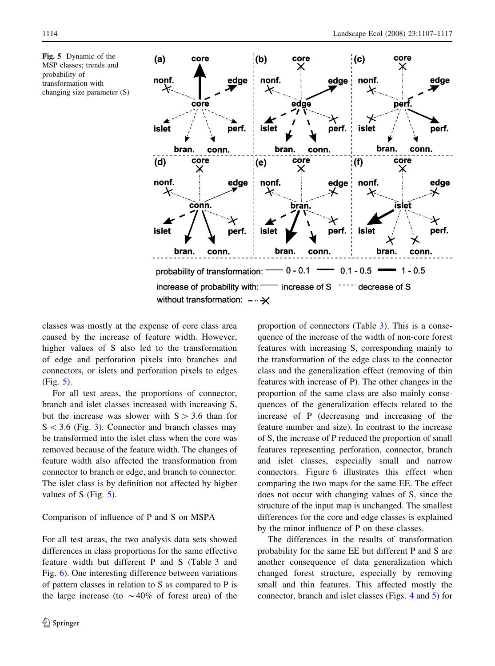<span id="page-7-0"></span>Fig. 5 Dynamic of the MSP classes; trends and probability of transformation with changing size parameter (S)



classes was mostly at the expense of core class area caused by the increase of feature width. However, higher values of S also led to the transformation of edge and perforation pixels into branches and connectors, or islets and perforation pixels to edges (Fig. 5).

For all test areas, the proportions of connector, branch and islet classes increased with increasing S, but the increase was slower with  $S > 3.6$  than for  $S < 3.6$  $S < 3.6$  $S < 3.6$  (Fig. 3). Connector and branch classes may be transformed into the islet class when the core was removed because of the feature width. The changes of feature width also affected the transformation from connector to branch or edge, and branch to connector. The islet class is by definition not affected by higher values of S (Fig. 5).

## Comparison of influence of P and S on MSPA

For all test areas, the two analysis data sets showed differences in class proportions for the same effective feature width but different P and S (Table [3](#page-8-0) and Fig. [6\)](#page-9-0). One interesting difference between variations of pattern classes in relation to S as compared to P is the large increase (to  $\sim$ 40% of forest area) of the proportion of connectors (Table [3\)](#page-8-0). This is a consequence of the increase of the width of non-core forest features with increasing S, corresponding mainly to the transformation of the edge class to the connector class and the generalization effect (removing of thin features with increase of P). The other changes in the proportion of the same class are also mainly consequences of the generalization effects related to the increase of P (decreasing and increasing of the feature number and size). In contrast to the increase of S, the increase of P reduced the proportion of small features representing perforation, connector, branch and islet classes, especially small and narrow connectors. Figure [6](#page-9-0) illustrates this effect when comparing the two maps for the same EE. The effect does not occur with changing values of S, since the structure of the input map is unchanged. The smallest differences for the core and edge classes is explained by the minor influence of P on these classes.

The differences in the results of transformation probability for the same EE but different P and S are another consequence of data generalization which changed forest structure, especially by removing small and thin features. This affected mostly the connector, branch and islet classes (Figs. [4](#page-6-0) and 5) for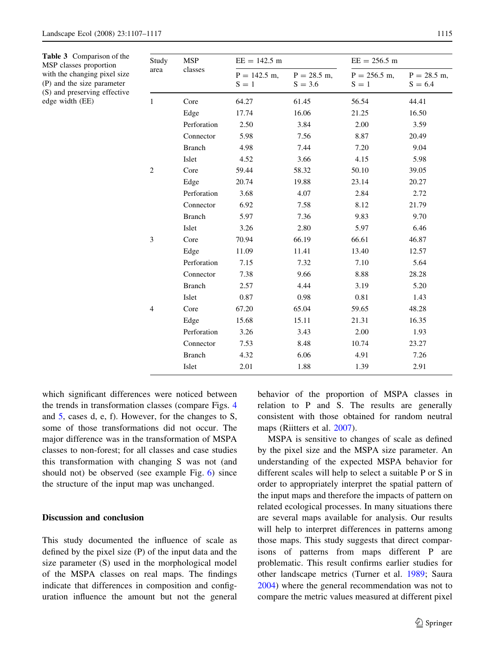<span id="page-8-0"></span>**Table** 

| <b>Table 3</b> Comparison of the<br>MSP classes proportion                                 | Study<br>area  | <b>MSP</b><br>classes | $EE = 142.5 m$            |                            | $EE = 256.5 m$            |                            |
|--------------------------------------------------------------------------------------------|----------------|-----------------------|---------------------------|----------------------------|---------------------------|----------------------------|
| with the changing pixel size<br>(P) and the size parameter<br>(S) and preserving effective |                |                       | $P = 142.5$ m,<br>$S = 1$ | $P = 28.5$ m,<br>$S = 3.6$ | $P = 256.5$ m,<br>$S = 1$ | $P = 28.5$ m,<br>$S = 6.4$ |
| edge width (EE)                                                                            | $\mathbf{1}$   | Core                  | 64.27                     | 61.45                      | 56.54                     | 44.41                      |
|                                                                                            |                | Edge                  | 17.74                     | 16.06                      | 21.25                     | 16.50                      |
|                                                                                            |                | Perforation           | 2.50                      | 3.84                       | 2.00                      | 3.59                       |
|                                                                                            |                | Connector             | 5.98                      | 7.56                       | 8.87                      | 20.49                      |
|                                                                                            |                | <b>Branch</b>         | 4.98                      | 7.44                       | 7.20                      | 9.04                       |
|                                                                                            |                | Islet                 | 4.52                      | 3.66                       | 4.15                      | 5.98                       |
|                                                                                            | $\sqrt{2}$     | Core                  | 59.44                     | 58.32                      | 50.10                     | 39.05                      |
|                                                                                            |                | Edge                  | 20.74                     | 19.88                      | 23.14                     | 20.27                      |
|                                                                                            |                | Perforation           | 3.68                      | 4.07                       | 2.84                      | 2.72                       |
|                                                                                            |                | Connector             | 6.92                      | 7.58                       | 8.12                      | 21.79                      |
|                                                                                            |                | <b>Branch</b>         | 5.97                      | 7.36                       | 9.83                      | 9.70                       |
|                                                                                            |                | Islet                 | 3.26                      | 2.80                       | 5.97                      | 6.46                       |
|                                                                                            | $\mathfrak{Z}$ | Core                  | 70.94                     | 66.19                      | 66.61                     | 46.87                      |
|                                                                                            |                | Edge                  | 11.09                     | 11.41                      | 13.40                     | 12.57                      |
|                                                                                            |                | Perforation           | 7.15                      | 7.32                       | 7.10                      | 5.64                       |
|                                                                                            |                | Connector             | 7.38                      | 9.66                       | 8.88                      | 28.28                      |
|                                                                                            |                | <b>Branch</b>         | 2.57                      | 4.44                       | 3.19                      | 5.20                       |
|                                                                                            |                | Islet                 | 0.87                      | 0.98                       | 0.81                      | 1.43                       |
|                                                                                            | $\overline{4}$ | Core                  | 67.20                     | 65.04                      | 59.65                     | 48.28                      |
|                                                                                            |                | Edge                  | 15.68                     | 15.11                      | 21.31                     | 16.35                      |
|                                                                                            |                | Perforation           | 3.26                      | 3.43                       | 2.00                      | 1.93                       |
|                                                                                            |                | Connector             | 7.53                      | 8.48                       | 10.74                     | 23.27                      |
|                                                                                            |                | <b>Branch</b>         | 4.32                      | 6.06                       | 4.91                      | 7.26                       |
|                                                                                            |                | Islet                 | 2.01                      | 1.88                       | 1.39                      | 2.91                       |

which significant differences were noticed between the trends in transformation classes (compare Figs. [4](#page-6-0) and [5,](#page-7-0) cases d, e, f). However, for the changes to S, some of those transformations did not occur. The major difference was in the transformation of MSPA classes to non-forest; for all classes and case studies this transformation with changing S was not (and should not) be observed (see example Fig. [6](#page-9-0)) since the structure of the input map was unchanged.

## Discussion and conclusion

This study documented the influence of scale as defined by the pixel size (P) of the input data and the size parameter (S) used in the morphological model of the MSPA classes on real maps. The findings indicate that differences in composition and configuration influence the amount but not the general behavior of the proportion of MSPA classes in relation to P and S. The results are generally consistent with those obtained for random neutral maps (Riitters et al. [2007](#page-10-0)).

MSPA is sensitive to changes of scale as defined by the pixel size and the MSPA size parameter. An understanding of the expected MSPA behavior for different scales will help to select a suitable P or S in order to appropriately interpret the spatial pattern of the input maps and therefore the impacts of pattern on related ecological processes. In many situations there are several maps available for analysis. Our results will help to interpret differences in patterns among those maps. This study suggests that direct comparisons of patterns from maps different P are problematic. This result confirms earlier studies for other landscape metrics (Turner et al. [1989;](#page-10-0) Saura [2004\)](#page-10-0) where the general recommendation was not to compare the metric values measured at different pixel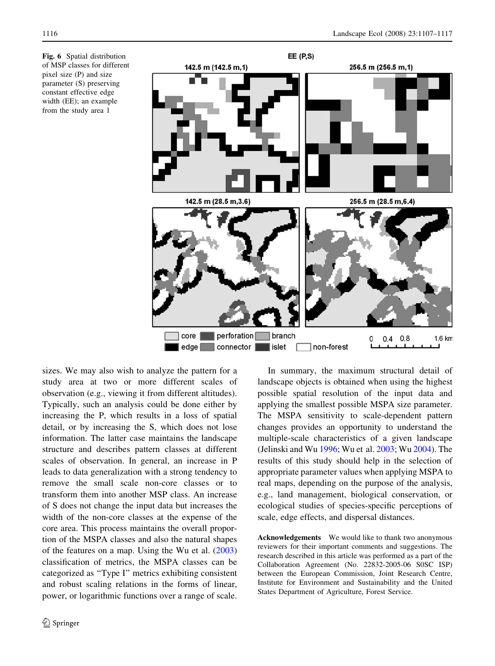<span id="page-9-0"></span>Fig. 6 Spatial distribution of MSP classes for different pixel size (P) and size parameter (S) preserving constant effective edge width (EE); an example from the study area 1



sizes. We may also wish to analyze the pattern for a study area at two or more different scales of observation (e.g., viewing it from different altitudes). Typically, such an analysis could be done either by increasing the P, which results in a loss of spatial detail, or by increasing the S, which does not lose information. The latter case maintains the landscape structure and describes pattern classes at different scales of observation. In general, an increase in P leads to data generalization with a strong tendency to remove the small scale non-core classes or to transform them into another MSP class. An increase of S does not change the input data but increases the width of the non-core classes at the expense of the core area. This process maintains the overall proportion of the MSPA classes and also the natural shapes of the features on a map. Using the Wu et al. ([2003\)](#page-10-0) classification of metrics, the MSPA classes can be categorized as ''Type I'' metrics exhibiting consistent and robust scaling relations in the forms of linear, power, or logarithmic functions over a range of scale.

 $\otimes$  Springer

In summary, the maximum structural detail of landscape objects is obtained when using the highest possible spatial resolution of the input data and applying the smallest possible MSPA size parameter. The MSPA sensitivity to scale-dependent pattern changes provides an opportunity to understand the multiple-scale characteristics of a given landscape (Jelinski and Wu [1996](#page-10-0); Wu et al. [2003](#page-10-0); Wu [2004](#page-10-0)). The results of this study should help in the selection of appropriate parameter values when applying MSPA to real maps, depending on the purpose of the analysis, e.g., land management, biological conservation, or ecological studies of species-specific perceptions of scale, edge effects, and dispersal distances.

Acknowledgements We would like to thank two anonymous reviewers for their important comments and suggestions. The research described in this article was performed as a part of the Collaboration Agreement (No. 22832-2005-06 S0SC ISP) between the European Commission, Joint Research Centre, Institute for Environment and Sustainability and the United States Department of Agriculture, Forest Service.